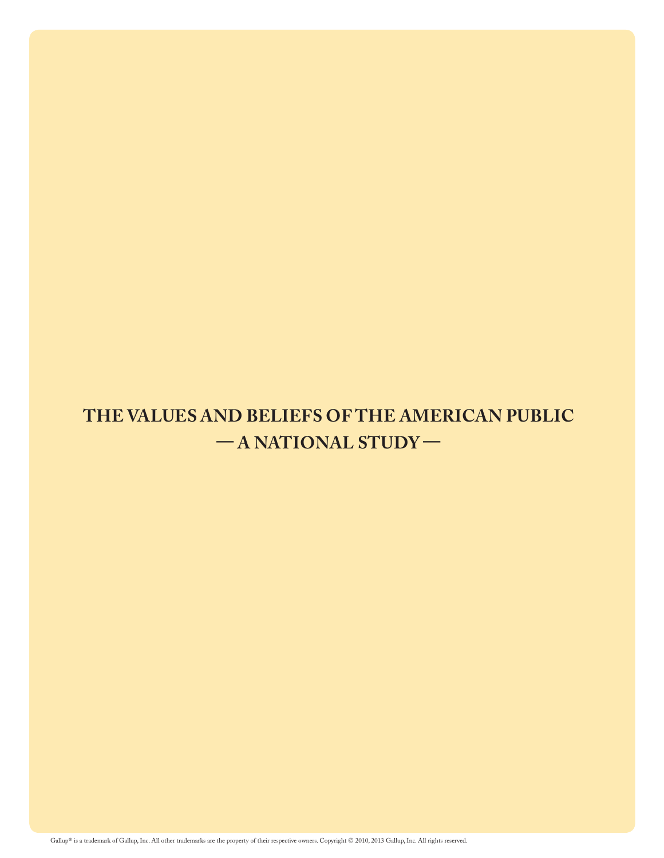# **THE VALUES AND BELIEFS OF THE AMERICAN PUBLIC — A NATIONAL STUDY —**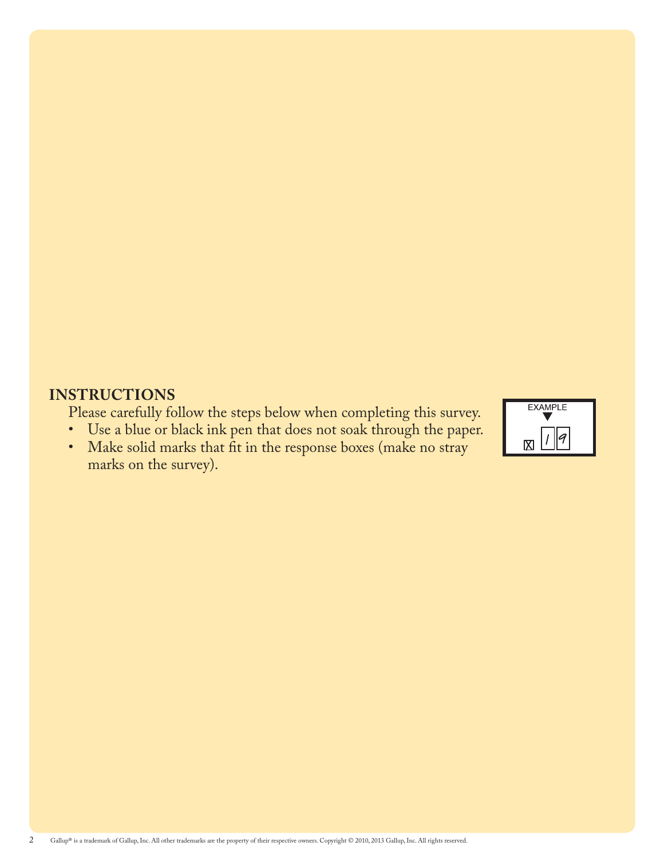# **INSTRUCTIONS**

Please carefully follow the steps below when completing this survey.<br>• Use a blue or black ink pen that does not soak through the paper.

• Use a blue or black ink pen that does not soak through the paper.<br>• Make solid marks that fit in the response boxes (make no stray



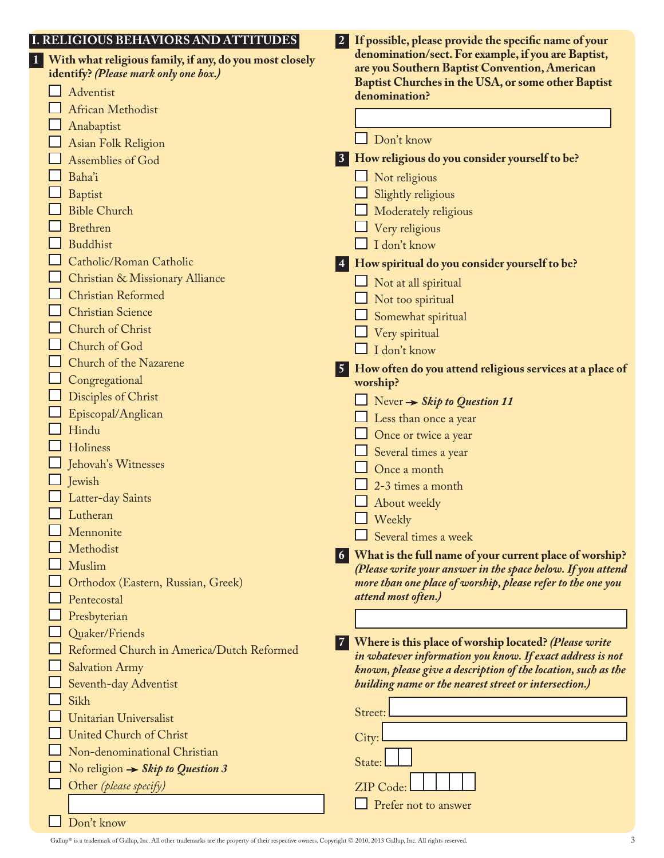| I. RELIGIOUS BEHAVIORS AND ATTITUDES                                                             | $\vert 2 \vert$ | If possible, please provide the specific name of your                                                                      |
|--------------------------------------------------------------------------------------------------|-----------------|----------------------------------------------------------------------------------------------------------------------------|
| With what religious family, if any, do you most closely<br>identify? (Please mark only one box.) |                 | denomination/sect. For example, if you are Baptist,<br>are you Southern Baptist Convention, American                       |
| Adventist                                                                                        |                 | Baptist Churches in the USA, or some other Baptist<br>denomination?                                                        |
| African Methodist                                                                                |                 |                                                                                                                            |
| Anabaptist                                                                                       |                 |                                                                                                                            |
| Asian Folk Religion                                                                              |                 | Don't know                                                                                                                 |
| Assemblies of God                                                                                | 3               | How religious do you consider yourself to be?                                                                              |
| Baha'i                                                                                           |                 | Not religious                                                                                                              |
| <b>Baptist</b>                                                                                   |                 | Slightly religious                                                                                                         |
| <b>Bible Church</b>                                                                              |                 | Moderately religious                                                                                                       |
| <b>Brethren</b>                                                                                  |                 | Very religious                                                                                                             |
| <b>Buddhist</b>                                                                                  |                 | I don't know                                                                                                               |
| Catholic/Roman Catholic                                                                          |                 | How spiritual do you consider yourself to be?                                                                              |
| Christian & Missionary Alliance                                                                  |                 | Not at all spiritual                                                                                                       |
| Christian Reformed                                                                               |                 | Not too spiritual                                                                                                          |
| <b>Christian Science</b>                                                                         |                 | Somewhat spiritual                                                                                                         |
| Church of Christ                                                                                 |                 | Very spiritual                                                                                                             |
| Church of God                                                                                    |                 | I don't know                                                                                                               |
| Church of the Nazarene                                                                           |                 |                                                                                                                            |
| Congregational                                                                                   |                 | How often do you attend religious services at a place of<br>worship?                                                       |
| Disciples of Christ                                                                              |                 |                                                                                                                            |
| Episcopal/Anglican                                                                               |                 | Never $\rightarrow$ Skip to Question 11                                                                                    |
| Hindu                                                                                            |                 | Less than once a year                                                                                                      |
| Holiness                                                                                         |                 | Once or twice a year                                                                                                       |
| Jehovah's Witnesses                                                                              |                 | Several times a year<br>Once a month                                                                                       |
| Jewish                                                                                           |                 |                                                                                                                            |
| Latter-day Saints                                                                                |                 | 2-3 times a month                                                                                                          |
| Lutheran                                                                                         |                 | About weekly<br>$\Box$ Weekly                                                                                              |
| Mennonite                                                                                        |                 | Several times a week                                                                                                       |
| Methodist                                                                                        |                 |                                                                                                                            |
| Muslim                                                                                           | $\vert 6 \vert$ | What is the full name of your current place of worship?<br>(Please write your answer in the space below. If you attend     |
| Orthodox (Eastern, Russian, Greek)                                                               |                 | more than one place of worship, please refer to the one you                                                                |
| Pentecostal                                                                                      |                 | attend most often.)                                                                                                        |
| Presbyterian                                                                                     |                 |                                                                                                                            |
| Quaker/Friends                                                                                   |                 |                                                                                                                            |
| Reformed Church in America/Dutch Reformed                                                        | $\vert 7 \vert$ | Where is this place of worship located? (Please write                                                                      |
| <b>Salvation Army</b>                                                                            |                 | in whatever information you know. If exact address is not<br>known, please give a description of the location, such as the |
| Seventh-day Adventist                                                                            |                 | building name or the nearest street or intersection.)                                                                      |
| Sikh                                                                                             |                 |                                                                                                                            |
| <b>Unitarian Universalist</b>                                                                    |                 | Street:                                                                                                                    |
| <b>United Church of Christ</b>                                                                   |                 | City:                                                                                                                      |
| Non-denominational Christian                                                                     |                 |                                                                                                                            |
| No religion $\rightarrow$ Skip to Question 3                                                     |                 | State:                                                                                                                     |
| Other (please specify)                                                                           |                 | <b>ZIP</b> Code                                                                                                            |
|                                                                                                  |                 | Prefer not to answer                                                                                                       |
| Don't know                                                                                       |                 |                                                                                                                            |
|                                                                                                  |                 |                                                                                                                            |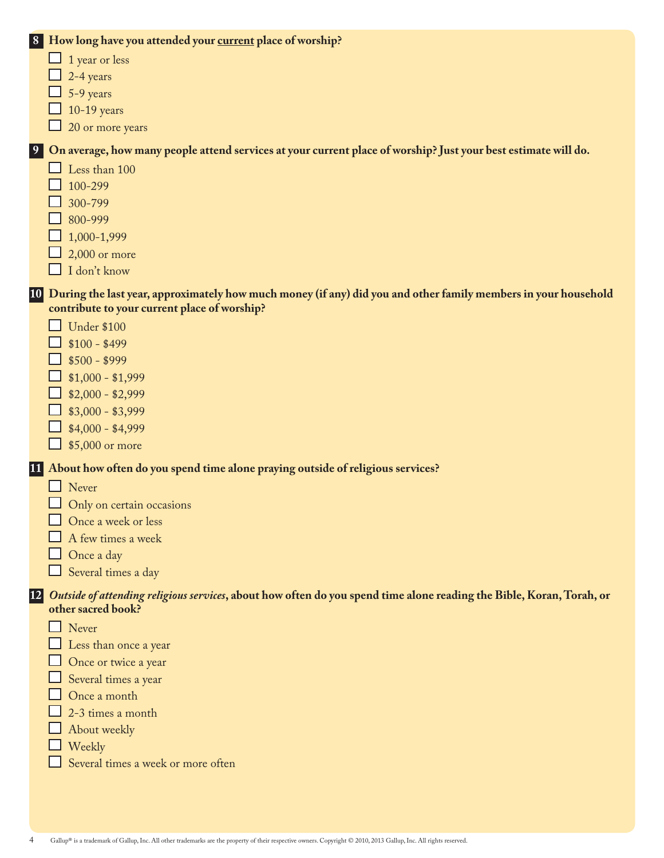| 8 |  | How long have you attended your current place of worship?                                                               |
|---|--|-------------------------------------------------------------------------------------------------------------------------|
|   |  | 1 year or less                                                                                                          |
|   |  | 2-4 years                                                                                                               |
|   |  | 5-9 years                                                                                                               |
|   |  | $10-19$ years                                                                                                           |
|   |  | 20 or more years                                                                                                        |
| 9 |  | On average, how many people attend services at your current place of worship? Just your best estimate will do.          |
|   |  | Less than 100                                                                                                           |
|   |  | 100-299                                                                                                                 |
|   |  | 300-799                                                                                                                 |
|   |  | 800-999                                                                                                                 |
|   |  | 1,000-1,999                                                                                                             |
|   |  | $2,000$ or more                                                                                                         |
|   |  | I don't know                                                                                                            |
|   |  | 10 During the last year, approximately how much money (if any) did you and other family members in your household       |
|   |  | contribute to your current place of worship?                                                                            |
|   |  | <b>Under \$100</b>                                                                                                      |
|   |  | $$100 - $499$                                                                                                           |
|   |  | $$500 - $999$                                                                                                           |
|   |  | $$1,000 - $1,999$                                                                                                       |
|   |  | $$2,000 - $2,999$                                                                                                       |
|   |  | $$3,000 - $3,999$                                                                                                       |
|   |  | $$4,000 - $4,999$                                                                                                       |
|   |  | $\Box$ \$5,000 or more                                                                                                  |
|   |  | 11 About how often do you spend time alone praying outside of religious services?                                       |
|   |  | $\Box$ Never                                                                                                            |
|   |  | Only on certain occasions                                                                                               |
|   |  | Once a week or less                                                                                                     |
|   |  | A few times a week                                                                                                      |
|   |  | Once a day                                                                                                              |
|   |  | Several times a day                                                                                                     |
|   |  | 12 Outside of attending religious services, about how often do you spend time alone reading the Bible, Koran, Torah, or |
|   |  | other sacred book?                                                                                                      |
|   |  | Never                                                                                                                   |
|   |  | Less than once a year                                                                                                   |
|   |  | Once or twice a year                                                                                                    |
|   |  | Several times a year                                                                                                    |
|   |  | Once a month                                                                                                            |
|   |  | 2-3 times a month                                                                                                       |
|   |  | About weekly                                                                                                            |
|   |  | Weekly                                                                                                                  |
|   |  | Several times a week or more often                                                                                      |
|   |  |                                                                                                                         |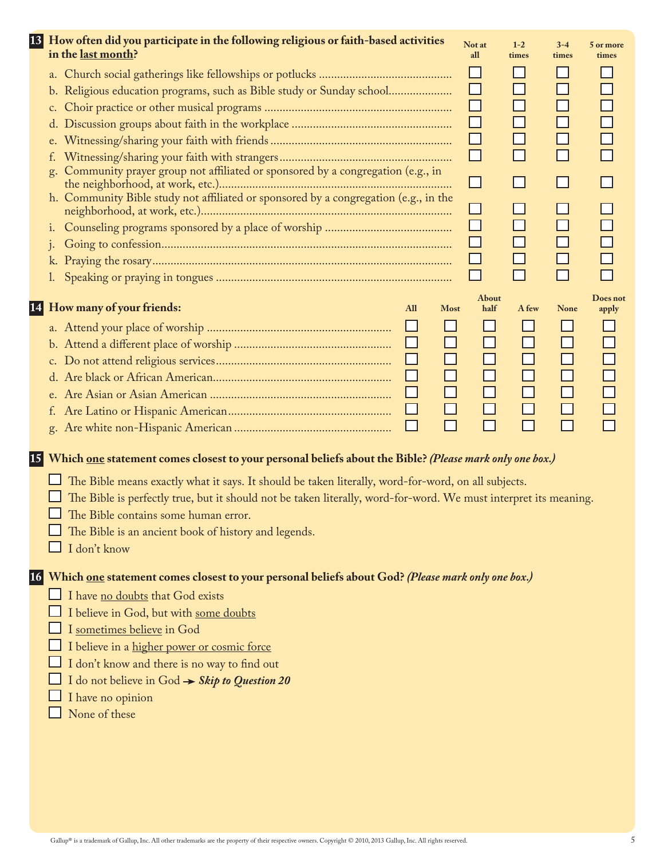| 13 How often did you participate in the following religious or faith-based activities                              | Not at | $1 - 2$        | $3 - 4$      | 5 or more |
|--------------------------------------------------------------------------------------------------------------------|--------|----------------|--------------|-----------|
| in the last month?                                                                                                 | all    | times          | times        | times     |
|                                                                                                                    | ⊔      |                |              |           |
| Religious education programs, such as Bible study or Sunday school<br>b.                                           | ⊔      | $\Box$         |              |           |
| $c_{\cdot}$                                                                                                        | ⊔      | $\Box$         |              |           |
|                                                                                                                    | $\Box$ | $\Box$         | ⊐            |           |
| e.                                                                                                                 | $\Box$ |                |              |           |
| f.                                                                                                                 | $\Box$ | $\Box$         |              |           |
| Community prayer group not affiliated or sponsored by a congregation (e.g., in<br>g.                               | $\Box$ | $\blacksquare$ |              |           |
| h. Community Bible study not affiliated or sponsored by a congregation (e.g., in the                               |        |                |              |           |
|                                                                                                                    | ப      |                |              |           |
| 1.                                                                                                                 | $\Box$ | $\Box$         |              |           |
| $\mathbf{1}$                                                                                                       |        |                |              |           |
|                                                                                                                    |        |                |              |           |
|                                                                                                                    |        |                |              |           |
|                                                                                                                    | About  |                |              | Does not  |
| 14 How many of your friends:<br>All<br><b>Most</b>                                                                 | half   | A few          | <b>None</b>  | apply     |
| ⊔                                                                                                                  |        |                | $\mathsf{L}$ |           |
| ⊔<br>$\mathsf{L}$                                                                                                  | $\Box$ | ΙI             | ⊔            |           |
| ⊔<br>$\mathsf{L}$                                                                                                  | $\Box$ |                | $\Box$       |           |
|                                                                                                                    | $\Box$ |                | $\Box$       |           |
|                                                                                                                    |        |                | $\Box$       |           |
| ⊔                                                                                                                  |        |                | ⊔            |           |
| $\Box$                                                                                                             |        |                |              |           |
|                                                                                                                    |        |                |              |           |
| 15 Which one statement comes closest to your personal beliefs about the Bible? (Please mark only one box.)         |        |                |              |           |
| The Bible means exactly what it says. It should be taken literally, word-for-word, on all subjects.                |        |                |              |           |
| The Bible is perfectly true, but it should not be taken literally, word-for-word. We must interpret its meaning.   |        |                |              |           |
| The Bible contains some human error.                                                                               |        |                |              |           |
| The Bible is an ancient book of history and legends.                                                               |        |                |              |           |
| I don't know                                                                                                       |        |                |              |           |
|                                                                                                                    |        |                |              |           |
| 16 Which <u>one</u> statement comes closest to your personal beliefs about God? <i>(Please mark only one box.)</i> |        |                |              |           |
| I have no doubts that God exists                                                                                   |        |                |              |           |
| I believe in God, but with some doubts                                                                             |        |                |              |           |
| I sometimes believe in God                                                                                         |        |                |              |           |
| I believe in a higher power or cosmic force                                                                        |        |                |              |           |
| I don't know and there is no way to find out                                                                       |        |                |              |           |
| I do not believe in God $\rightarrow$ Skip to Question 20                                                          |        |                |              |           |
| I have no opinion                                                                                                  |        |                |              |           |
| None of these                                                                                                      |        |                |              |           |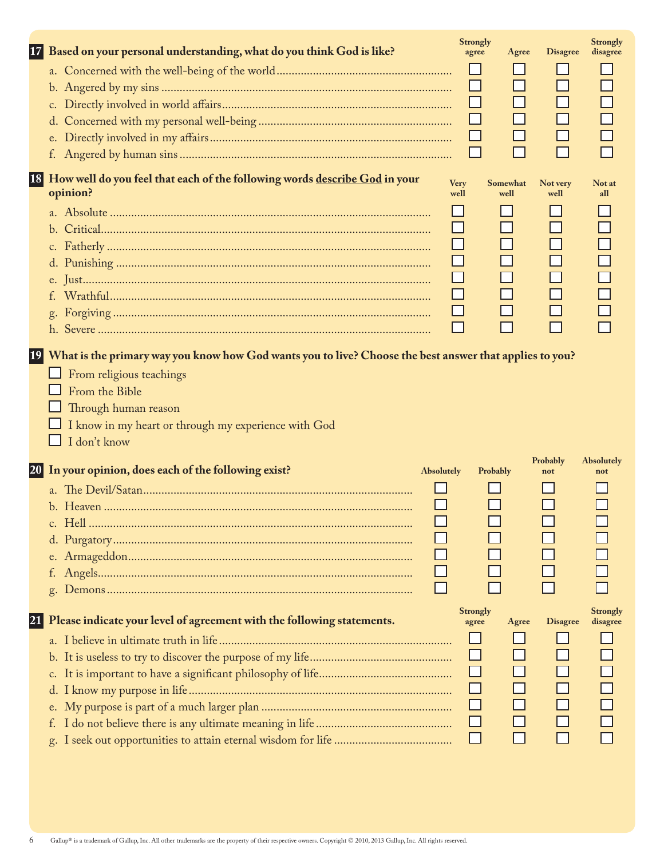| 17 | Based on your personal understanding, what do you think God is like?                                                                                                                                                                                     | <b>Strongly</b><br>agree | Agree            | <b>Disagree</b>  | <b>Strongly</b><br>disagree |
|----|----------------------------------------------------------------------------------------------------------------------------------------------------------------------------------------------------------------------------------------------------------|--------------------------|------------------|------------------|-----------------------------|
|    |                                                                                                                                                                                                                                                          |                          |                  |                  |                             |
|    |                                                                                                                                                                                                                                                          |                          |                  |                  |                             |
|    |                                                                                                                                                                                                                                                          | $\Box$                   |                  |                  |                             |
|    |                                                                                                                                                                                                                                                          |                          |                  |                  |                             |
|    |                                                                                                                                                                                                                                                          |                          |                  |                  |                             |
|    |                                                                                                                                                                                                                                                          | $\overline{\phantom{0}}$ | $\Box$           |                  |                             |
|    |                                                                                                                                                                                                                                                          |                          |                  |                  |                             |
|    | 18 How well do you feel that each of the following words describe God in your<br>opinion?                                                                                                                                                                | Very<br>well             | Somewhat<br>well | Not very<br>well | Not at<br>all               |
|    |                                                                                                                                                                                                                                                          |                          |                  |                  |                             |
|    |                                                                                                                                                                                                                                                          |                          |                  |                  |                             |
|    |                                                                                                                                                                                                                                                          | $\Box$                   |                  |                  |                             |
|    |                                                                                                                                                                                                                                                          | $\Box$                   | $\Box$           |                  |                             |
|    |                                                                                                                                                                                                                                                          | $\Box$                   | П                |                  |                             |
|    |                                                                                                                                                                                                                                                          | $\Box$                   |                  |                  |                             |
|    |                                                                                                                                                                                                                                                          | $\Box$                   | $\Box$           |                  |                             |
|    |                                                                                                                                                                                                                                                          | $\mathbf{I}$             |                  |                  |                             |
|    | 19 What is the primary way you know how God wants you to live? Choose the best answer that applies to you?<br>From religious teachings<br>From the Bible<br>Through human reason<br>I know in my heart or through my experience with God<br>I don't know |                          |                  |                  |                             |
|    | 20 In your opinion, does each of the following exist?<br><b>Absolutely</b>                                                                                                                                                                               |                          | Probably         | Probably<br>not  | Absolutely<br>not           |
|    | $\Box$                                                                                                                                                                                                                                                   |                          |                  |                  |                             |
|    |                                                                                                                                                                                                                                                          |                          |                  |                  |                             |
|    |                                                                                                                                                                                                                                                          |                          |                  |                  |                             |
|    |                                                                                                                                                                                                                                                          |                          |                  |                  |                             |
|    |                                                                                                                                                                                                                                                          |                          |                  |                  |                             |
|    |                                                                                                                                                                                                                                                          |                          |                  |                  |                             |
|    |                                                                                                                                                                                                                                                          |                          |                  |                  |                             |
| 21 | Please indicate your level of agreement with the following statements.                                                                                                                                                                                   | <b>Strongly</b><br>agree | Agree            | <b>Disagree</b>  | <b>Strongly</b><br>disagree |
|    |                                                                                                                                                                                                                                                          |                          |                  |                  |                             |
|    |                                                                                                                                                                                                                                                          |                          |                  |                  |                             |
|    |                                                                                                                                                                                                                                                          |                          |                  |                  |                             |
|    |                                                                                                                                                                                                                                                          |                          |                  |                  |                             |
|    |                                                                                                                                                                                                                                                          | $\Box$                   |                  |                  |                             |
|    |                                                                                                                                                                                                                                                          | $\Box$                   |                  |                  |                             |
|    |                                                                                                                                                                                                                                                          | ⊔                        |                  |                  |                             |
|    |                                                                                                                                                                                                                                                          |                          |                  |                  |                             |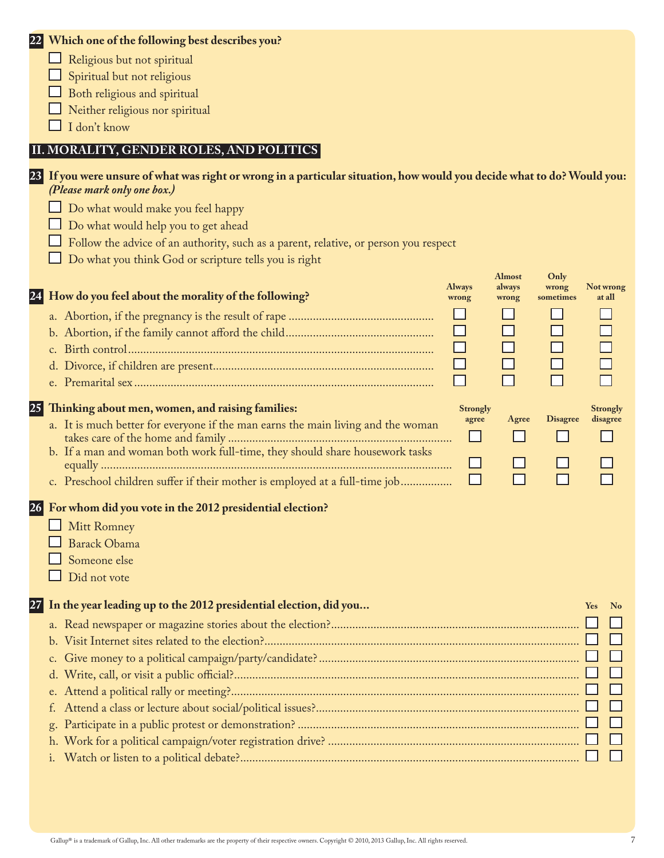|  |  |  |  | 22 Which one of the following best describes you? |  |  |  |  |
|--|--|--|--|---------------------------------------------------|--|--|--|--|
|--|--|--|--|---------------------------------------------------|--|--|--|--|

- $\hfill\Box$ <br> <br> Religious but not spiritual
- $\Box$  Spiritual but not religious
- $\Box$  Both religious and spiritual
- $\Box$  Neither religious nor spiritual
- I don't know

# **II. MORALITY, GENDER ROLES, AND POLITICS**

|    | 23 If you were unsure of what was right or wrong in a particular situation, how would you decide what to do? Would you:<br>(Please mark only one box.) |                        |                 |                    |            |                     |
|----|--------------------------------------------------------------------------------------------------------------------------------------------------------|------------------------|-----------------|--------------------|------------|---------------------|
|    | Do what would make you feel happy                                                                                                                      |                        |                 |                    |            |                     |
|    | Do what would help you to get ahead                                                                                                                    |                        |                 |                    |            |                     |
|    | Follow the advice of an authority, such as a parent, relative, or person you respect                                                                   |                        |                 |                    |            |                     |
|    | Do what you think God or scripture tells you is right                                                                                                  |                        |                 |                    |            |                     |
|    |                                                                                                                                                        |                        | <b>Almost</b>   | Only               |            |                     |
|    | 24 How do you feel about the morality of the following?                                                                                                | <b>Always</b><br>wrong | always<br>wrong | wrong<br>sometimes |            | Not wrong<br>at all |
|    |                                                                                                                                                        |                        |                 |                    |            |                     |
|    |                                                                                                                                                        |                        | $\Box$          |                    |            |                     |
|    |                                                                                                                                                        | $\Box$                 | $\Box$          |                    |            |                     |
|    |                                                                                                                                                        | ⊔                      |                 |                    |            |                     |
|    |                                                                                                                                                        | П                      | П               |                    |            |                     |
|    |                                                                                                                                                        |                        |                 |                    |            |                     |
| 25 | Thinking about men, women, and raising families:                                                                                                       | <b>Strongly</b>        |                 |                    |            | <b>Strongly</b>     |
|    | a. It is much better for everyone if the man earns the main living and the woman                                                                       | agree                  | Agree           | <b>Disagree</b>    |            | disagree            |
|    |                                                                                                                                                        | ப                      |                 |                    |            |                     |
|    | b. If a man and woman both work full-time, they should share housework tasks                                                                           | ⊔                      |                 |                    |            |                     |
|    | c. Preschool children suffer if their mother is employed at a full-time job                                                                            | $\blacksquare$         |                 |                    |            |                     |
|    |                                                                                                                                                        |                        |                 |                    |            |                     |
|    | 26 For whom did you vote in the 2012 presidential election?                                                                                            |                        |                 |                    |            |                     |
|    | <b>Mitt Romney</b>                                                                                                                                     |                        |                 |                    |            |                     |
|    | <b>Barack Obama</b>                                                                                                                                    |                        |                 |                    |            |                     |
|    | Someone else                                                                                                                                           |                        |                 |                    |            |                     |
|    | Did not vote                                                                                                                                           |                        |                 |                    |            |                     |
|    |                                                                                                                                                        |                        |                 |                    |            |                     |
|    | 27 In the year leading up to the 2012 presidential election, did you                                                                                   |                        |                 |                    | <b>Yes</b> | N <sub>o</sub>      |
|    |                                                                                                                                                        |                        |                 |                    |            |                     |
|    |                                                                                                                                                        |                        |                 |                    |            |                     |
|    |                                                                                                                                                        |                        |                 |                    |            |                     |
|    |                                                                                                                                                        |                        |                 |                    |            |                     |
|    |                                                                                                                                                        |                        |                 |                    |            |                     |
|    |                                                                                                                                                        |                        |                 |                    |            |                     |
|    |                                                                                                                                                        |                        |                 |                    |            |                     |
|    |                                                                                                                                                        |                        |                 |                    |            |                     |
|    |                                                                                                                                                        |                        |                 |                    |            |                     |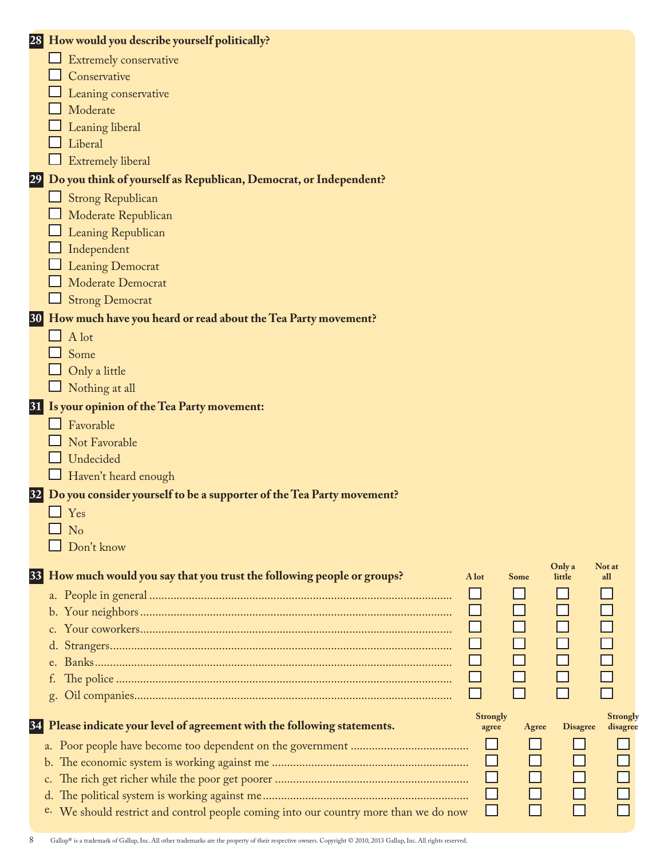|           | 28 How would you describe yourself politically?                                                                                    |
|-----------|------------------------------------------------------------------------------------------------------------------------------------|
|           | Extremely conservative                                                                                                             |
|           | Conservative                                                                                                                       |
|           | Leaning conservative                                                                                                               |
|           | Moderate                                                                                                                           |
|           | Leaning liberal                                                                                                                    |
|           | Liberal                                                                                                                            |
|           | <b>Extremely liberal</b>                                                                                                           |
| 29        | Do you think of yourself as Republican, Democrat, or Independent?                                                                  |
|           | <b>Strong Republican</b>                                                                                                           |
|           | Moderate Republican                                                                                                                |
|           | Leaning Republican                                                                                                                 |
|           | Independent                                                                                                                        |
|           | <b>Leaning Democrat</b>                                                                                                            |
|           | Moderate Democrat                                                                                                                  |
|           | $\Box$ Strong Democrat                                                                                                             |
| <b>30</b> | How much have you heard or read about the Tea Party movement?                                                                      |
|           | $\Box$ A lot                                                                                                                       |
|           | Some                                                                                                                               |
|           | Only a little                                                                                                                      |
|           | Nothing at all                                                                                                                     |
|           | 31 Is your opinion of the Tea Party movement:                                                                                      |
|           | Favorable                                                                                                                          |
|           | Not Favorable                                                                                                                      |
|           | Undecided                                                                                                                          |
|           | Haven't heard enough                                                                                                               |
| 32        | Do you consider yourself to be a supporter of the Tea Party movement?                                                              |
|           | Yes                                                                                                                                |
|           | $\Box$ No                                                                                                                          |
|           | Don't know                                                                                                                         |
| 33        | Only a<br>Not at<br>How much would you say that you trust the following people or groups?<br>A lot<br><b>Some</b><br>little<br>all |
|           |                                                                                                                                    |
|           |                                                                                                                                    |
|           |                                                                                                                                    |
|           |                                                                                                                                    |
|           |                                                                                                                                    |
|           | f.                                                                                                                                 |
|           | $\Box$<br>g.                                                                                                                       |
|           | <b>Strongly</b><br><b>Strongly</b>                                                                                                 |
| 34        | Please indicate your level of agreement with the following statements.<br><b>Disagree</b><br>Agree<br>disagree<br>agree            |
|           |                                                                                                                                    |
|           | b.                                                                                                                                 |
|           | c.                                                                                                                                 |
|           | d.                                                                                                                                 |
|           | $\mathsf{L}$<br>$\Box$<br>e. We should restrict and control people coming into our country more than we do now                     |

8 Gallup® is a trademark of Gallup, Inc. All other trademarks are the property of their respective owners. Copyright © 2010, 2013 Gallup, Inc. All rights reserved.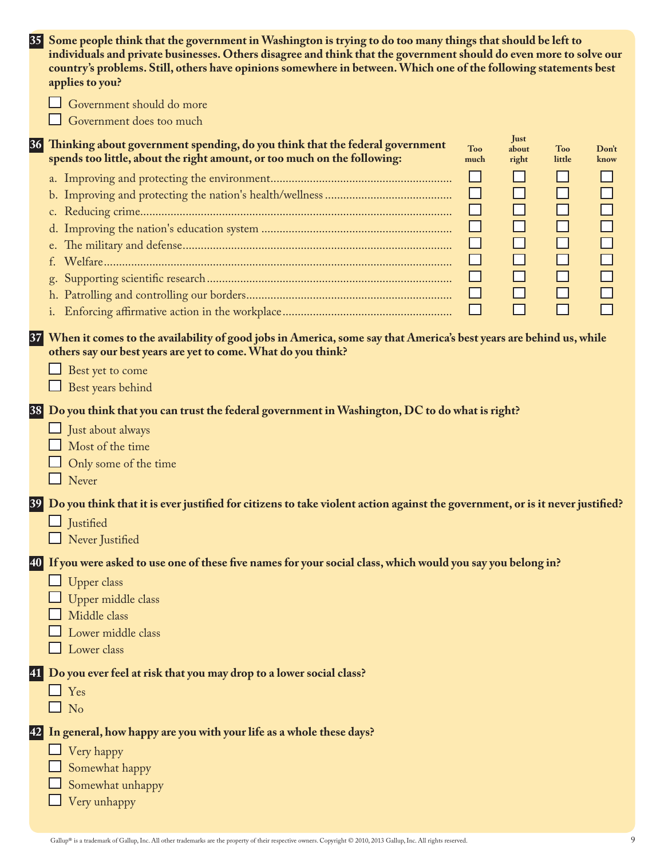|    | 35 Some people think that the government in Washington is trying to do too many things that should be left to<br>individuals and private businesses. Others disagree and think that the government should do even more to solve our<br>country's problems. Still, others have opinions somewhere in between. Which one of the following statements best |                    |                        |                          |               |
|----|---------------------------------------------------------------------------------------------------------------------------------------------------------------------------------------------------------------------------------------------------------------------------------------------------------------------------------------------------------|--------------------|------------------------|--------------------------|---------------|
|    | applies to you?<br>Government should do more                                                                                                                                                                                                                                                                                                            |                    |                        |                          |               |
|    | Government does too much                                                                                                                                                                                                                                                                                                                                |                    |                        |                          |               |
| 36 | Thinking about government spending, do you think that the federal government<br>spends too little, about the right amount, or too much on the following:                                                                                                                                                                                                | <b>Too</b><br>much | Just<br>about<br>right | <b>Too</b><br>little     | Don't<br>know |
|    |                                                                                                                                                                                                                                                                                                                                                         | $\Box$             |                        | $\overline{\phantom{0}}$ |               |
|    |                                                                                                                                                                                                                                                                                                                                                         | ⊔<br>$\Box$        | ⊔<br>$\Box$            | $\Box$<br>$\Box$         |               |
|    |                                                                                                                                                                                                                                                                                                                                                         | $\Box$             | $\Box$                 | $\Box$                   |               |
|    |                                                                                                                                                                                                                                                                                                                                                         | $\Box$             | $\Box$                 | $\Box$                   |               |
|    | t.                                                                                                                                                                                                                                                                                                                                                      | $\Box$             | $\Box$                 | $\Box$                   |               |
|    |                                                                                                                                                                                                                                                                                                                                                         | $\Box$             | $\Box$                 | $\Box$                   | $\Box$        |
|    |                                                                                                                                                                                                                                                                                                                                                         | $\Box$             | $\Box$                 | $\Box$                   |               |
|    |                                                                                                                                                                                                                                                                                                                                                         | $\Box$             | $\Box$                 | $\Box$                   |               |
|    | 37 When it comes to the availability of good jobs in America, some say that America's best years are behind us, while<br>others say our best years are yet to come. What do you think?<br>Best yet to come<br>Best years behind                                                                                                                         |                    |                        |                          |               |
|    | 38 Do you think that you can trust the federal government in Washington, DC to do what is right?                                                                                                                                                                                                                                                        |                    |                        |                          |               |
|    | Just about always                                                                                                                                                                                                                                                                                                                                       |                    |                        |                          |               |
|    | Most of the time                                                                                                                                                                                                                                                                                                                                        |                    |                        |                          |               |
|    | Only some of the time                                                                                                                                                                                                                                                                                                                                   |                    |                        |                          |               |
|    | Never                                                                                                                                                                                                                                                                                                                                                   |                    |                        |                          |               |
|    | 39 Do you think that it is ever justified for citizens to take violent action against the government, or is it never justified?                                                                                                                                                                                                                         |                    |                        |                          |               |
|    | $\Box$ Justified                                                                                                                                                                                                                                                                                                                                        |                    |                        |                          |               |
|    | $\Box$ Never Justified                                                                                                                                                                                                                                                                                                                                  |                    |                        |                          |               |
|    | 40 If you were asked to use one of these five names for your social class, which would you say you belong in?                                                                                                                                                                                                                                           |                    |                        |                          |               |
|    | Upper class                                                                                                                                                                                                                                                                                                                                             |                    |                        |                          |               |
|    | Upper middle class                                                                                                                                                                                                                                                                                                                                      |                    |                        |                          |               |
|    | Middle class                                                                                                                                                                                                                                                                                                                                            |                    |                        |                          |               |
|    | Lower middle class                                                                                                                                                                                                                                                                                                                                      |                    |                        |                          |               |
|    | Lower class                                                                                                                                                                                                                                                                                                                                             |                    |                        |                          |               |
|    | 41 Do you ever feel at risk that you may drop to a lower social class?                                                                                                                                                                                                                                                                                  |                    |                        |                          |               |
|    | $\Box$ Yes                                                                                                                                                                                                                                                                                                                                              |                    |                        |                          |               |
|    | $\Box$ No                                                                                                                                                                                                                                                                                                                                               |                    |                        |                          |               |
|    | 42 In general, how happy are you with your life as a whole these days?                                                                                                                                                                                                                                                                                  |                    |                        |                          |               |
|    | Very happy                                                                                                                                                                                                                                                                                                                                              |                    |                        |                          |               |
|    | Somewhat happy                                                                                                                                                                                                                                                                                                                                          |                    |                        |                          |               |
|    | Somewhat unhappy                                                                                                                                                                                                                                                                                                                                        |                    |                        |                          |               |
|    | Very unhappy                                                                                                                                                                                                                                                                                                                                            |                    |                        |                          |               |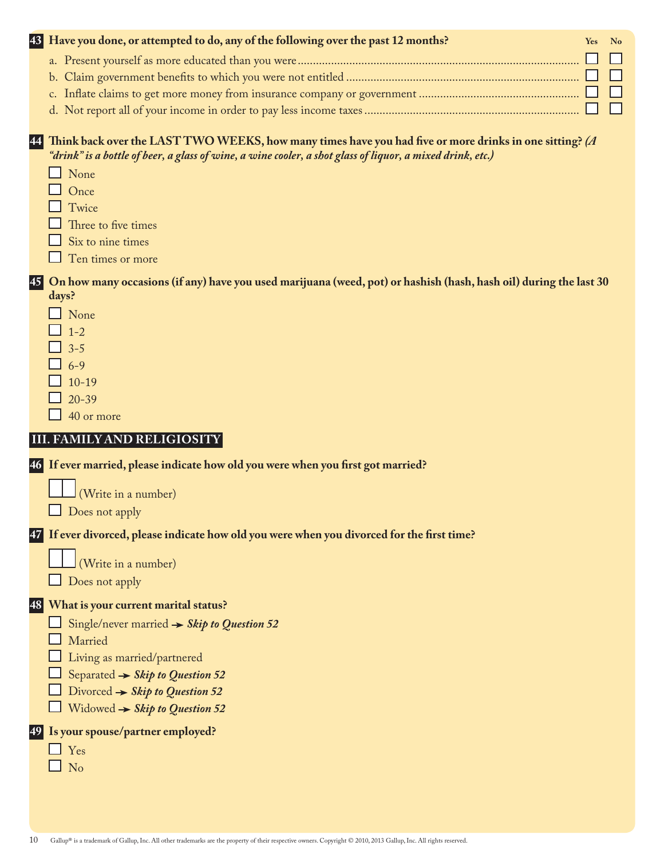| 43<br>Have you done, or attempted to do, any of the following over the past 12 months?                                                                                                                                    | <b>Yes</b> | $N_0$ |
|---------------------------------------------------------------------------------------------------------------------------------------------------------------------------------------------------------------------------|------------|-------|
|                                                                                                                                                                                                                           |            |       |
|                                                                                                                                                                                                                           |            |       |
|                                                                                                                                                                                                                           |            |       |
|                                                                                                                                                                                                                           |            |       |
| Think back over the LAST TWO WEEKS, how many times have you had five or more drinks in one sitting? (A<br>44<br>"drink" is a bottle of beer, a glass of wine, a wine cooler, a shot glass of liquor, a mixed drink, etc.) |            |       |
| $\Box$ None                                                                                                                                                                                                               |            |       |
| $\Box$ Once                                                                                                                                                                                                               |            |       |
| $\Box$ Twice                                                                                                                                                                                                              |            |       |
| Three to five times                                                                                                                                                                                                       |            |       |
| Six to nine times                                                                                                                                                                                                         |            |       |
| Ten times or more                                                                                                                                                                                                         |            |       |
| On how many occasions (if any) have you used marijuana (weed, pot) or hashish (hash, hash oil) during the last 30<br>45<br>days?                                                                                          |            |       |

- **None**  $\Box$  1-2
- $\Box$  3-5
- $\overline{\phantom{0}}$  6-9
- $\Box$  10-19
- $\frac{1}{20-39}$
- $\Box$  40 or more

# **III. FAMILY AND RELIGIOSITY**

**46 If ever married, please indicate how old you were when you first got married?**

(Write in a number)

Does not apply

**47 If ever divorced, please indicate how old you were when you divorced for the first time?**

(Write in a number)

 $\Box$  Does not apply

### **48 What is your current marital status?**

- Single/never married *Skip to Question 52*
- Married
- Living as married/partnered
- Separated *Skip to Question 52*
- Divorced *Skip to Question 52*
- Widowed *Skip to Question 52*

# **49 Is your spouse/partner employed?**

- $\Box$  Yes
- $\Box$  No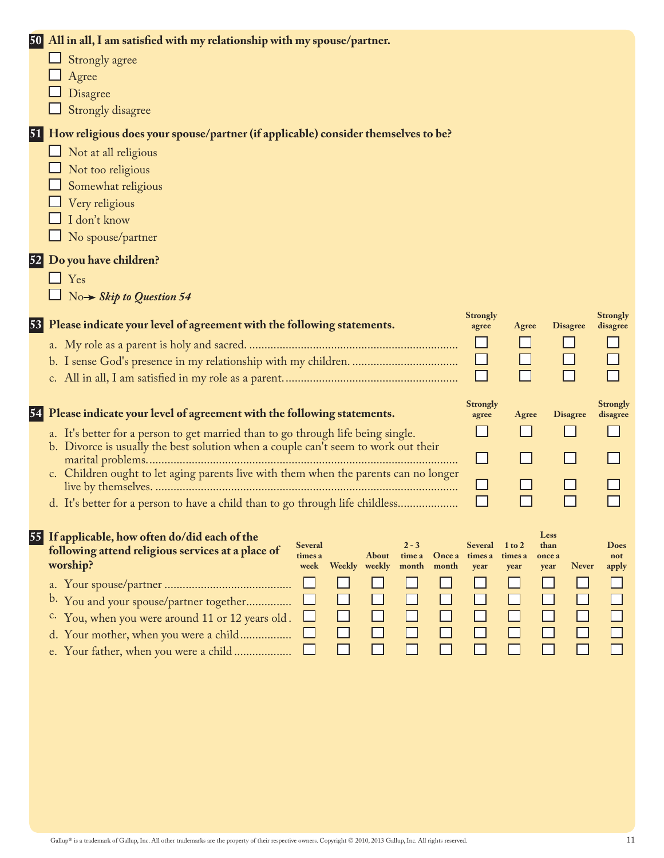|  | 50 All in all, I am satisfied with my relationship with my spouse/partner.                                                                                             |                          |                 |                                |                             |
|--|------------------------------------------------------------------------------------------------------------------------------------------------------------------------|--------------------------|-----------------|--------------------------------|-----------------------------|
|  | $\Box$ Strongly agree                                                                                                                                                  |                          |                 |                                |                             |
|  | Agree                                                                                                                                                                  |                          |                 |                                |                             |
|  | Disagree                                                                                                                                                               |                          |                 |                                |                             |
|  | Strongly disagree                                                                                                                                                      |                          |                 |                                |                             |
|  | 51 How religious does your spouse/partner (if applicable) consider themselves to be?                                                                                   |                          |                 |                                |                             |
|  | $\Box$ Not at all religious                                                                                                                                            |                          |                 |                                |                             |
|  | Not too religious                                                                                                                                                      |                          |                 |                                |                             |
|  | Somewhat religious                                                                                                                                                     |                          |                 |                                |                             |
|  | Very religious                                                                                                                                                         |                          |                 |                                |                             |
|  | I don't know                                                                                                                                                           |                          |                 |                                |                             |
|  | No spouse/partner                                                                                                                                                      |                          |                 |                                |                             |
|  | 52 Do you have children?                                                                                                                                               |                          |                 |                                |                             |
|  | $\Box$ Yes                                                                                                                                                             |                          |                 |                                |                             |
|  | $\Box$ No $\rightarrow$ Skip to Question 54                                                                                                                            |                          |                 |                                |                             |
|  |                                                                                                                                                                        |                          |                 |                                |                             |
|  | 53 Please indicate your level of agreement with the following statements.                                                                                              | <b>Strongly</b><br>agree | Agree           | <b>Disagree</b>                | <b>Strongly</b><br>disagree |
|  |                                                                                                                                                                        |                          |                 |                                |                             |
|  |                                                                                                                                                                        | $\Box$                   |                 |                                |                             |
|  |                                                                                                                                                                        | П                        |                 |                                |                             |
|  |                                                                                                                                                                        |                          |                 |                                |                             |
|  | 54 Please indicate your level of agreement with the following statements.                                                                                              | <b>Strongly</b>          | Agree           | <b>Disagree</b>                | <b>Strongly</b><br>disagree |
|  |                                                                                                                                                                        | agree                    |                 |                                |                             |
|  | a. It's better for a person to get married than to go through life being single.<br>b. Divorce is usually the best solution when a couple can't seem to work out their |                          |                 |                                |                             |
|  |                                                                                                                                                                        | ப                        |                 |                                |                             |
|  | c. Children ought to let aging parents live with them when the parents can no longer                                                                                   |                          |                 |                                |                             |
|  |                                                                                                                                                                        | $\Box$                   |                 |                                |                             |
|  | d. It's better for a person to have a child than to go through life childless                                                                                          | $\Box$                   |                 |                                |                             |
|  |                                                                                                                                                                        |                          |                 |                                |                             |
|  | 55 If applicable, how often do/did each of the<br>$2 - 3$<br><b>Several</b>                                                                                            | <b>Several</b>           | $1$ to $2$      | Less<br>than                   | <b>Does</b>                 |
|  | following attend religious services at a place of<br><b>About</b><br>time a<br>times a<br>worship?<br>Weekly weekly<br>week<br>month<br>month                          | Once a times a<br>year   | times a<br>year | once a<br><b>Never</b><br>year | not<br>apply                |
|  |                                                                                                                                                                        |                          |                 |                                |                             |
|  | You and your spouse/partner together                                                                                                                                   |                          |                 |                                |                             |
|  | b.                                                                                                                                                                     |                          |                 |                                |                             |
|  | c. You, when you were around 11 or 12 years old.                                                                                                                       |                          |                 |                                |                             |
|  | d. Your mother, when you were a child                                                                                                                                  |                          |                 |                                |                             |
|  | e. Your father, when you were a child                                                                                                                                  |                          |                 |                                |                             |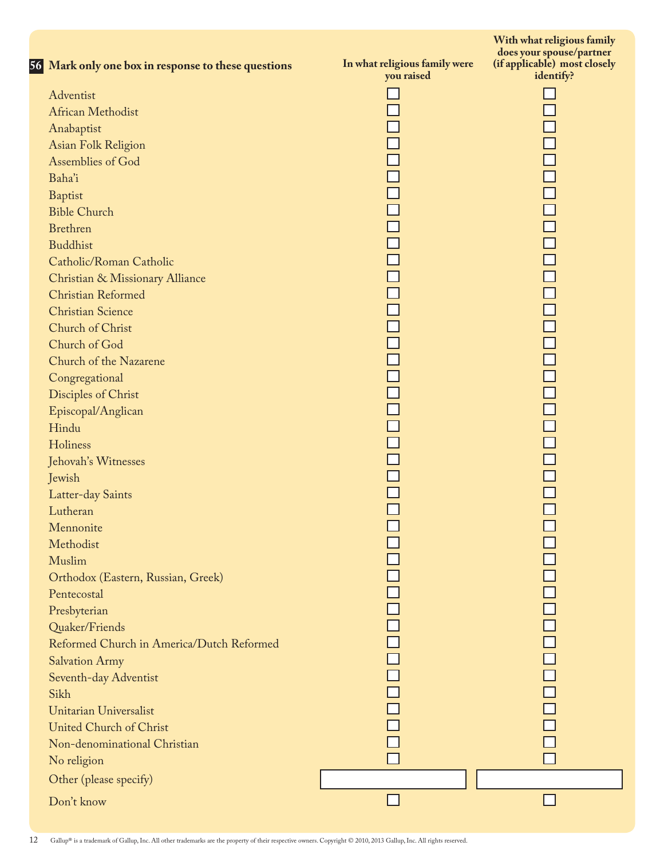| 56 Mark only one box in response to these questions | In what religious family were<br>you raised | With what religious family<br>does your spouse/partner<br>(if applicable) most closely<br>identify? |
|-----------------------------------------------------|---------------------------------------------|-----------------------------------------------------------------------------------------------------|
| Adventist                                           |                                             |                                                                                                     |
| African Methodist                                   |                                             |                                                                                                     |
| Anabaptist                                          |                                             |                                                                                                     |
| Asian Folk Religion                                 |                                             |                                                                                                     |
| Assemblies of God                                   |                                             |                                                                                                     |
| Baha'i                                              |                                             |                                                                                                     |
| <b>Baptist</b>                                      |                                             |                                                                                                     |
| <b>Bible Church</b>                                 |                                             |                                                                                                     |
| <b>Brethren</b>                                     | 0000000                                     |                                                                                                     |
| <b>Buddhist</b>                                     |                                             |                                                                                                     |
| Catholic/Roman Catholic                             |                                             |                                                                                                     |
| Christian & Missionary Alliance                     |                                             |                                                                                                     |
| Christian Reformed                                  |                                             |                                                                                                     |
| <b>Christian Science</b>                            |                                             |                                                                                                     |
| Church of Christ                                    |                                             |                                                                                                     |
| Church of God                                       |                                             |                                                                                                     |
| Church of the Nazarene                              |                                             |                                                                                                     |
| Congregational                                      |                                             |                                                                                                     |
| Disciples of Christ                                 |                                             |                                                                                                     |
| Episcopal/Anglican                                  | 0000000000000                               |                                                                                                     |
| Hindu                                               |                                             |                                                                                                     |
| Holiness                                            |                                             |                                                                                                     |
| Jehovah's Witnesses                                 |                                             |                                                                                                     |
| Jewish                                              |                                             |                                                                                                     |
| Latter-day Saints                                   |                                             |                                                                                                     |
| Lutheran                                            |                                             |                                                                                                     |
| Mennonite                                           |                                             |                                                                                                     |
| Methodist                                           |                                             |                                                                                                     |
| Muslim                                              |                                             |                                                                                                     |
| Orthodox (Eastern, Russian, Greek)                  |                                             |                                                                                                     |
| Pentecostal                                         |                                             |                                                                                                     |
| Presbyterian                                        |                                             |                                                                                                     |
| Quaker/Friends                                      |                                             |                                                                                                     |
| Reformed Church in America/Dutch Reformed           |                                             |                                                                                                     |
| <b>Salvation Army</b>                               |                                             |                                                                                                     |
| Seventh-day Adventist                               |                                             |                                                                                                     |
| Sikh                                                |                                             |                                                                                                     |
| Unitarian Universalist                              |                                             |                                                                                                     |
| United Church of Christ                             |                                             |                                                                                                     |
| Non-denominational Christian                        |                                             |                                                                                                     |
| No religion                                         |                                             |                                                                                                     |
| Other (please specify)                              |                                             |                                                                                                     |
| Don't know                                          |                                             |                                                                                                     |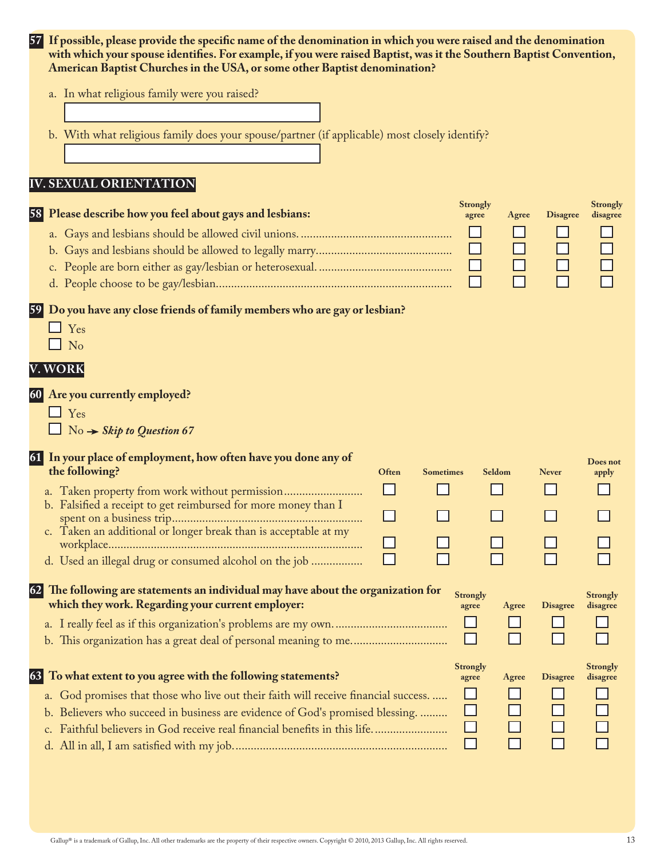| 57        |               | If possible, please provide the specific name of the denomination in which you were raised and the denomination<br>with which your spouse identifies. For example, if you were raised Baptist, was it the Southern Baptist Convention,<br>American Baptist Churches in the USA, or some other Baptist denomination? |        |                  |                          |        |                 |                             |
|-----------|---------------|---------------------------------------------------------------------------------------------------------------------------------------------------------------------------------------------------------------------------------------------------------------------------------------------------------------------|--------|------------------|--------------------------|--------|-----------------|-----------------------------|
|           |               | a. In what religious family were you raised?                                                                                                                                                                                                                                                                        |        |                  |                          |        |                 |                             |
|           |               | b. With what religious family does your spouse/partner (if applicable) most closely identify?                                                                                                                                                                                                                       |        |                  |                          |        |                 |                             |
|           |               |                                                                                                                                                                                                                                                                                                                     |        |                  |                          |        |                 |                             |
|           |               | <b>IV. SEXUAL ORIENTATION</b>                                                                                                                                                                                                                                                                                       |        |                  |                          |        |                 |                             |
| 58        |               | Please describe how you feel about gays and lesbians:                                                                                                                                                                                                                                                               |        |                  | <b>Strongly</b><br>agree | Agree  | <b>Disagree</b> | <b>Strongly</b><br>disagree |
|           |               |                                                                                                                                                                                                                                                                                                                     |        |                  |                          |        |                 |                             |
|           |               |                                                                                                                                                                                                                                                                                                                     |        |                  |                          |        |                 |                             |
|           |               |                                                                                                                                                                                                                                                                                                                     |        |                  | $\Box$                   |        |                 |                             |
|           |               |                                                                                                                                                                                                                                                                                                                     |        |                  | $\Box$                   | $\Box$ | $\Box$          |                             |
| <b>59</b> |               | Do you have any close friends of family members who are gay or lesbian?                                                                                                                                                                                                                                             |        |                  |                          |        |                 |                             |
|           |               | $\Box$ Yes                                                                                                                                                                                                                                                                                                          |        |                  |                          |        |                 |                             |
|           |               | $\Box$ No                                                                                                                                                                                                                                                                                                           |        |                  |                          |        |                 |                             |
|           |               | V. WORK                                                                                                                                                                                                                                                                                                             |        |                  |                          |        |                 |                             |
| 60        |               | Are you currently employed?                                                                                                                                                                                                                                                                                         |        |                  |                          |        |                 |                             |
|           |               | $\Box$ Yes                                                                                                                                                                                                                                                                                                          |        |                  |                          |        |                 |                             |
|           |               | $\Box$ No $\rightarrow$ Skip to Question 67                                                                                                                                                                                                                                                                         |        |                  |                          |        |                 |                             |
| 61        |               | In your place of employment, how often have you done any of<br>the following?                                                                                                                                                                                                                                       |        |                  |                          |        |                 | Does not                    |
|           |               |                                                                                                                                                                                                                                                                                                                     | Often  | <b>Sometimes</b> | Seldom                   |        | <b>Never</b>    | apply                       |
|           |               | b. Falsified a receipt to get reimbursed for more money than I                                                                                                                                                                                                                                                      |        |                  | ⊓                        |        | □               |                             |
|           |               | c. Taken an additional or longer break than is acceptable at my                                                                                                                                                                                                                                                     | $\Box$ |                  |                          |        |                 |                             |
|           |               |                                                                                                                                                                                                                                                                                                                     |        |                  |                          |        |                 |                             |
|           |               | d. Used an illegal drug or consumed alcohol on the job                                                                                                                                                                                                                                                              |        |                  |                          |        |                 |                             |
| 62        |               | The following are statements an individual may have about the organization for<br>which they work. Regarding your current employer:                                                                                                                                                                                 |        |                  | <b>Strongly</b><br>agree | Agree  | <b>Disagree</b> | <b>Strongly</b><br>disagree |
|           |               |                                                                                                                                                                                                                                                                                                                     |        |                  |                          |        |                 |                             |
|           |               |                                                                                                                                                                                                                                                                                                                     |        |                  | $\mathsf{L}$             |        |                 |                             |
| 63        |               | To what extent to you agree with the following statements?                                                                                                                                                                                                                                                          |        |                  | <b>Strongly</b><br>agree | Agree  | <b>Disagree</b> | <b>Strongly</b><br>disagree |
|           |               | a. God promises that those who live out their faith will receive financial success.                                                                                                                                                                                                                                 |        |                  |                          |        |                 |                             |
|           |               | b. Believers who succeed in business are evidence of God's promised blessing.                                                                                                                                                                                                                                       |        |                  |                          |        |                 |                             |
|           | $C_{\bullet}$ | Faithful believers in God receive real financial benefits in this life                                                                                                                                                                                                                                              |        |                  |                          |        |                 |                             |
|           |               |                                                                                                                                                                                                                                                                                                                     |        |                  | ΙI                       |        |                 |                             |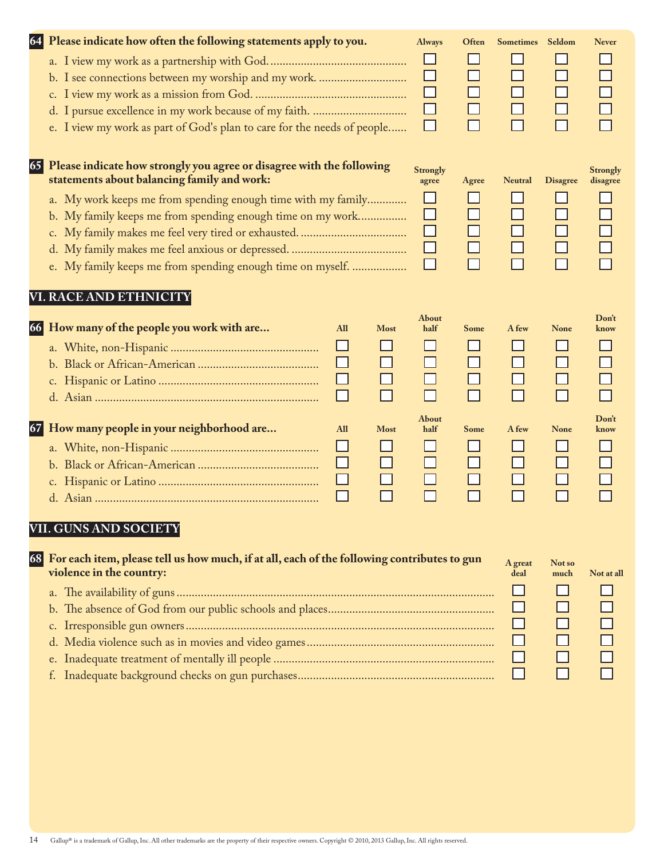|    | 64 Please indicate how often the following statements apply to you.                                                        |             | <b>Always</b>   | Often              | <b>Sometimes</b> | Seldom          | <b>Never</b>         |
|----|----------------------------------------------------------------------------------------------------------------------------|-------------|-----------------|--------------------|------------------|-----------------|----------------------|
|    |                                                                                                                            |             |                 |                    |                  |                 |                      |
|    |                                                                                                                            |             |                 | $\Box$             | $\Box$           | $\Box$          |                      |
|    |                                                                                                                            |             |                 | $\Box$             |                  |                 |                      |
|    |                                                                                                                            |             |                 | $\sqcup$<br>$\Box$ | $\Box$<br>П      | $\Box$          |                      |
|    | e. I view my work as part of God's plan to care for the needs of people                                                    |             | $\Box$          |                    |                  |                 |                      |
| 65 | Please indicate how strongly you agree or disagree with the following<br>statements about balancing family and work:       |             | <b>Strongly</b> |                    |                  |                 | <b>Strongly</b>      |
|    |                                                                                                                            |             | agree           | Agree              | <b>Neutral</b>   | <b>Disagree</b> | disagree             |
|    | a. My work keeps me from spending enough time with my family<br>b. My family keeps me from spending enough time on my work |             | ΙI              |                    | ΙI               | $\Box$          |                      |
|    |                                                                                                                            |             |                 | ⊔                  | $\Box$           | $\Box$          |                      |
|    |                                                                                                                            |             | $\Box$          | $\Box$             | □                | $\Box$          |                      |
|    | e. My family keeps me from spending enough time on myself.                                                                 |             |                 | $\Box$             | П                |                 |                      |
|    | VI. RACE AND ETHNICITY                                                                                                     |             |                 |                    |                  |                 |                      |
|    | 66 How many of the people you work with are<br>All                                                                         | <b>Most</b> | About<br>half   | <b>Some</b>        | A few            | <b>None</b>     | Don't<br>know        |
|    |                                                                                                                            |             |                 |                    |                  | ΙI              | $\Box$               |
|    | ⊔                                                                                                                          | $\Box$      |                 |                    | $\Box$           | $\Box$          |                      |
|    | $\Box$                                                                                                                     | $\Box$      | H               | $\Box$             | $\Box$           | $\Box$          |                      |
|    | $\Box$                                                                                                                     | П           | П               | П                  | $\Box$           | $\Box$          |                      |
|    | 67 How many people in your neighborhood are<br>All                                                                         | <b>Most</b> | About<br>half   | <b>Some</b>        | A few            | <b>None</b>     | <b>Don't</b><br>know |
|    | $\Box$                                                                                                                     |             |                 |                    |                  | ⊔               |                      |
|    | $\Box$                                                                                                                     | $\Box$      | $\Box$          |                    |                  | $\Box$          |                      |
|    | ⊔                                                                                                                          | $\Box$      | $\Box$          | $\Box$             | $\Box$           | $\Box$          |                      |
|    | $\Box$                                                                                                                     |             |                 |                    |                  |                 |                      |
|    | VII. GUNS AND SOCIETY                                                                                                      |             |                 |                    |                  |                 |                      |
|    | 68 For each item, please tell us how much, if at all, each of the following contributes to gun                             |             |                 |                    | A great          | Not so          |                      |
|    | violence in the country:                                                                                                   |             |                 |                    | deal             | much            | Not at all           |
|    |                                                                                                                            |             |                 |                    |                  |                 |                      |
|    | b.                                                                                                                         |             |                 |                    |                  |                 |                      |
|    | $\mathsf{c}$ .                                                                                                             |             |                 |                    |                  |                 |                      |
|    | d.                                                                                                                         |             |                 |                    |                  | $\Box$          |                      |
|    | e.                                                                                                                         |             |                 |                    |                  |                 |                      |
|    |                                                                                                                            |             |                 |                    |                  |                 |                      |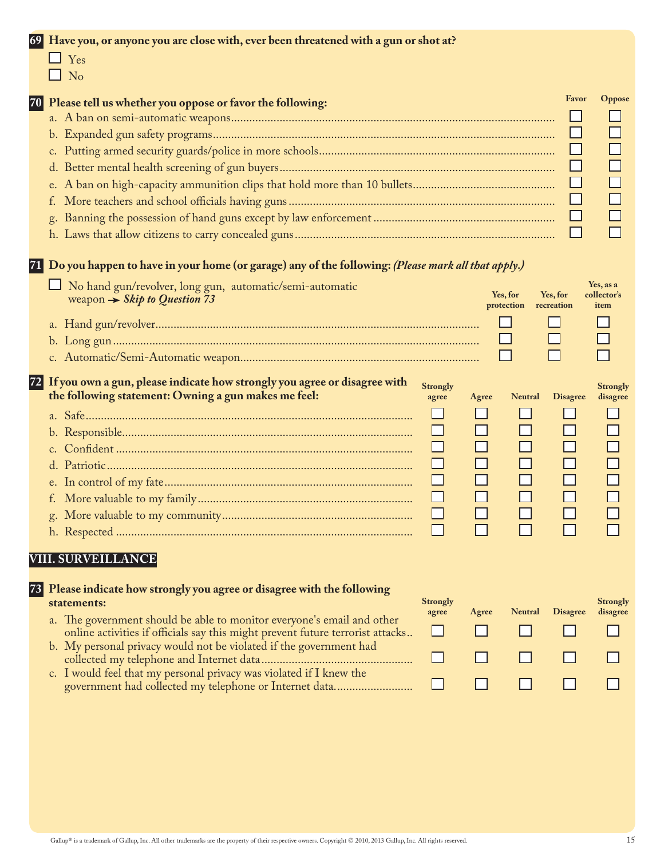| 69 | Have you, or anyone you are close with, ever been threatened with a gun or shot at?<br>$\Box$ Yes<br>$\Box$ No                                                                                                                                                                                                                                            |
|----|-----------------------------------------------------------------------------------------------------------------------------------------------------------------------------------------------------------------------------------------------------------------------------------------------------------------------------------------------------------|
|    | Favor<br>Oppose<br>70 Please tell us whether you oppose or favor the following:                                                                                                                                                                                                                                                                           |
|    | 71 Do you happen to have in your home (or garage) any of the following: (Please mark all that apply.)<br>Yes, as a<br>No hand gun/revolver, long gun, automatic/semi-automatic<br>Yes, for<br>Yes, for<br>collector's<br>weapon $\rightarrow$ Skip to Question 73<br>protection<br>recreation<br>item                                                     |
|    | 72 If you own a gun, please indicate how strongly you agree or disagree with<br><b>Strongly</b><br><b>Strongly</b><br>the following statement: Owning a gun makes me feel:<br><b>Neutral</b><br><b>Disagree</b><br>disagree<br>agree<br>Agree<br>$\Box$<br>$\Box$<br><b>VIII. SURVEILLANCE</b>                                                            |
| 73 | Please indicate how strongly you agree or disagree with the following<br><b>Strongly</b><br><b>Strongly</b><br>statements:<br><b>Disagree</b><br>disagree<br>agree<br>Agree<br><b>Neutral</b><br>a. The government should be able to monitor everyone's email and other<br>online activities if officials say this might prevent future terrorist attacks |

- b. My personal privacy would not be violated if the government had collected my telephone and Internet data ..................................................
- c. I would feel that my personal privacy was violated if I knew the government had collected my telephone or Internet data..........................

| otrongly<br>agree | Agree | <b>Neutral</b> | <b>Disagree</b> | <b>Strongly</b><br>disagree |
|-------------------|-------|----------------|-----------------|-----------------------------|
|                   |       | I I            | $\sim$          |                             |
| $\mathsf{L}$      | ' '   | ' '            | ' '             |                             |
| $\sim$ 1          |       |                |                 |                             |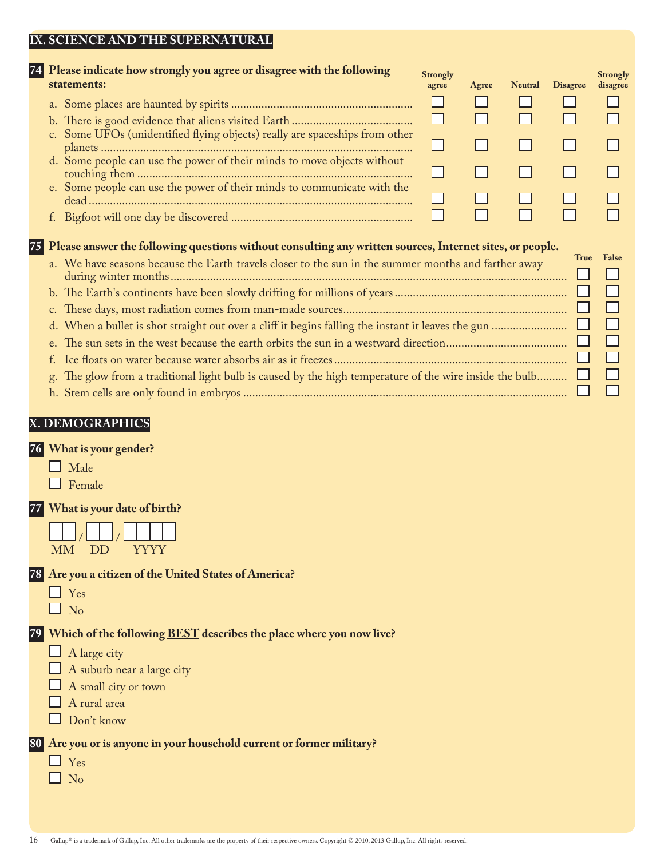#### **IX. SCIENCE AND THE SUPERNATURAL**

| statements:     | 74 Please indicate how strongly you agree or disagree with the following                                 | <b>Strongly</b><br>agree | Agree | <b>Neutral</b> | <b>Disagree</b> | Strongly<br>disagree |
|-----------------|----------------------------------------------------------------------------------------------------------|--------------------------|-------|----------------|-----------------|----------------------|
|                 |                                                                                                          |                          |       |                |                 |                      |
|                 |                                                                                                          |                          |       |                |                 |                      |
|                 | c. Some UFOs (unidentified flying objects) really are spaceships from other                              |                          |       |                |                 |                      |
|                 | d. Some people can use the power of their minds to move objects without                                  |                          |       |                |                 |                      |
|                 | e. Some people can use the power of their minds to communicate with the                                  |                          |       |                |                 |                      |
|                 |                                                                                                          |                          |       |                |                 |                      |
|                 | Please answer the following questions without consulting any written sources, Internet sites, or people. |                          |       |                |                 |                      |
|                 | a. We have seasons because the Earth travels closer to the sun in the summer months and farther away     |                          |       |                | True            | False                |
|                 |                                                                                                          |                          |       |                |                 |                      |
| $C_{\bullet}$   |                                                                                                          |                          |       |                |                 |                      |
| d.              |                                                                                                          |                          |       |                |                 | L                    |
|                 |                                                                                                          |                          |       |                |                 | $\Box$               |
|                 |                                                                                                          |                          |       |                |                 | <b>I</b>             |
| g.              | The glow from a traditional light bulb is caused by the high temperature of the wire inside the bulb     |                          |       |                |                 |                      |
|                 |                                                                                                          |                          |       |                |                 |                      |
| V DEMOOD ADHIOC |                                                                                                          |                          |       |                |                 |                      |

# **X. DEMOGRAPHICS**

### **76 What is your gender?**

| Male |
|------|
|------|

Female

## **77 What is your date of birth?**

|    | $\mathbf{1}$ |        | $\vert \vert / \vert$ |  |         |  |
|----|--------------|--------|-----------------------|--|---------|--|
| MM |              | $\Box$ |                       |  | Y Y Y Y |  |

#### **78 Are you a citizen of the United States of America?**

□ Yes

L

 $\Box$  No

# **79 Which of the following BEST describes the place where you now live?**

- $\Box$  A large city
- $\Box$  A suburb near a large city
- $\Box$  A small city or town
- $\Box$  A rural area
- $\Box$  Don't know

#### **80 Are you or is anyone in your household current or former military?**

- □ Yes
- $\Box$  No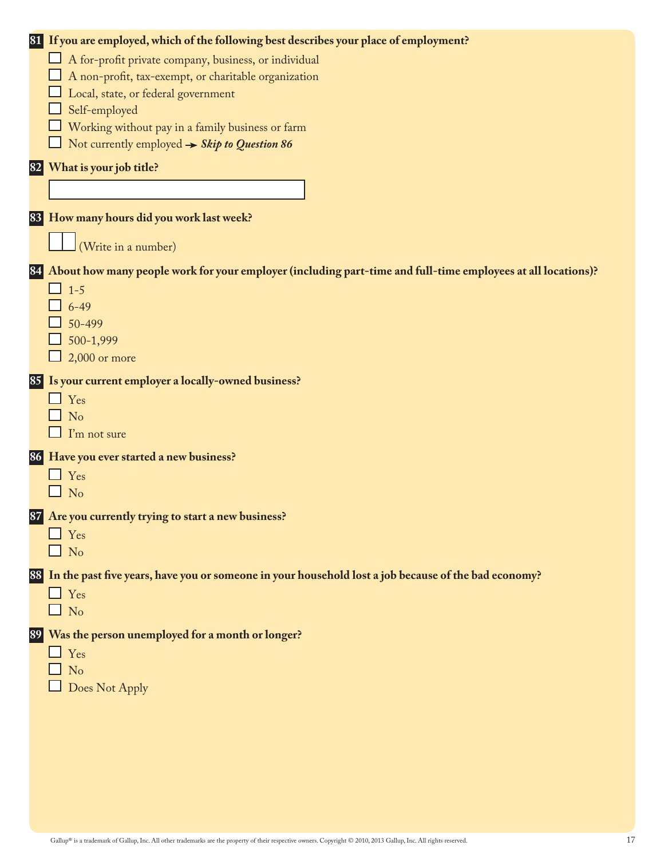|    | 81 If you are employed, which of the following best describes your place of employment?                      |
|----|--------------------------------------------------------------------------------------------------------------|
|    | A for-profit private company, business, or individual                                                        |
|    | A non-profit, tax-exempt, or charitable organization                                                         |
|    | Local, state, or federal government                                                                          |
|    | Self-employed                                                                                                |
|    | Working without pay in a family business or farm                                                             |
|    | Not currently employed $\rightarrow$ Skip to Question 86                                                     |
| 82 | What is your job title?                                                                                      |
|    |                                                                                                              |
|    |                                                                                                              |
|    | 83 How many hours did you work last week?                                                                    |
|    |                                                                                                              |
|    | (Write in a number)                                                                                          |
| 84 | About how many people work for your employer (including part-time and full-time employees at all locations)? |
|    | $1 - 5$                                                                                                      |
|    | $6 - 49$                                                                                                     |
|    | 50-499                                                                                                       |
|    | 500-1,999                                                                                                    |
|    | $2,000$ or more                                                                                              |
|    |                                                                                                              |
|    | 85 Is your current employer a locally-owned business?                                                        |
|    | Yes                                                                                                          |
|    | No                                                                                                           |
|    | I'm not sure                                                                                                 |
|    | 86 Have you ever started a new business?                                                                     |
|    | $\Box$ Yes                                                                                                   |
|    | $\Box$ No                                                                                                    |
|    |                                                                                                              |
|    | 87 Are you currently trying to start a new business?                                                         |
|    | $\Box$ Yes<br>$\Box$ No                                                                                      |
|    |                                                                                                              |
|    | 88 In the past five years, have you or someone in your household lost a job because of the bad economy?      |
|    | $\Box$ Yes                                                                                                   |
|    | $\Box$ No                                                                                                    |
|    | 89 Was the person unemployed for a month or longer?                                                          |
|    | $\Box$ Yes                                                                                                   |
|    | $\Box$ No                                                                                                    |
|    | Does Not Apply                                                                                               |
|    |                                                                                                              |
|    |                                                                                                              |
|    |                                                                                                              |
|    |                                                                                                              |
|    |                                                                                                              |
|    |                                                                                                              |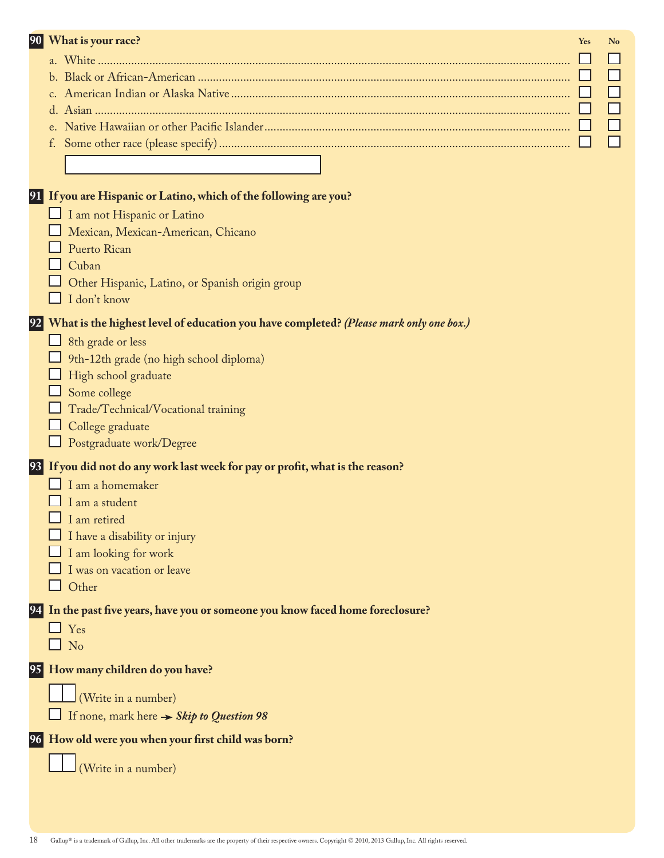| 90 | What is your race?                                                                        | Yes | No |
|----|-------------------------------------------------------------------------------------------|-----|----|
|    |                                                                                           |     |    |
|    |                                                                                           |     |    |
|    |                                                                                           |     |    |
|    |                                                                                           |     |    |
|    |                                                                                           |     |    |
|    |                                                                                           |     |    |
|    |                                                                                           |     |    |
|    |                                                                                           |     |    |
|    | 91 If you are Hispanic or Latino, which of the following are you?                         |     |    |
|    | I am not Hispanic or Latino                                                               |     |    |
|    | Mexican, Mexican-American, Chicano                                                        |     |    |
|    | Puerto Rican                                                                              |     |    |
|    | Cuban                                                                                     |     |    |
|    | Other Hispanic, Latino, or Spanish origin group                                           |     |    |
|    | I don't know                                                                              |     |    |
|    |                                                                                           |     |    |
|    | 92 What is the highest level of education you have completed? (Please mark only one box.) |     |    |
|    | 8th grade or less                                                                         |     |    |
|    | 9th-12th grade (no high school diploma)                                                   |     |    |
|    | High school graduate                                                                      |     |    |
|    | Some college                                                                              |     |    |
|    | Trade/Technical/Vocational training                                                       |     |    |
|    | College graduate                                                                          |     |    |
|    | Postgraduate work/Degree                                                                  |     |    |
|    | 93 If you did not do any work last week for pay or profit, what is the reason?            |     |    |
|    | I am a homemaker                                                                          |     |    |
|    | I am a student                                                                            |     |    |
|    | $\Box$ I am retired                                                                       |     |    |
|    | I have a disability or injury                                                             |     |    |
|    | I am looking for work                                                                     |     |    |
|    | I was on vacation or leave                                                                |     |    |
|    | Other                                                                                     |     |    |
|    | 94 In the past five years, have you or someone you know faced home foreclosure?           |     |    |
|    | $\Box$ Yes                                                                                |     |    |
|    | $\Box$ No                                                                                 |     |    |
|    |                                                                                           |     |    |
|    | 95 How many children do you have?                                                         |     |    |
|    | (Write in a number)                                                                       |     |    |
|    | If none, mark here $\rightarrow$ Skip to Question 98                                      |     |    |
|    | 96 How old were you when your first child was born?                                       |     |    |
|    |                                                                                           |     |    |
|    | (Write in a number)                                                                       |     |    |
|    |                                                                                           |     |    |
|    |                                                                                           |     |    |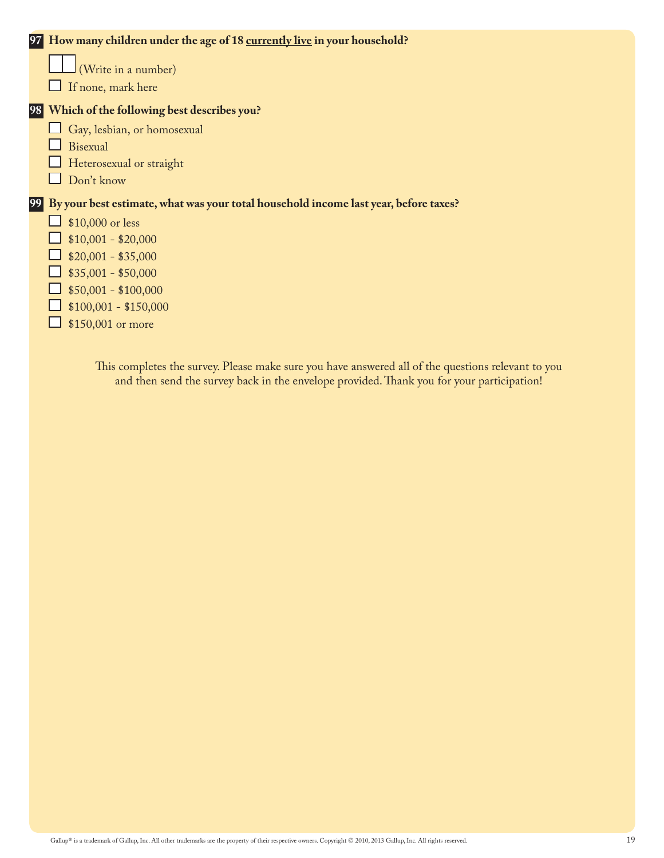|    | 97 How many children under the age of 18 currently live in your household?           |
|----|--------------------------------------------------------------------------------------|
|    | (Write in a number)                                                                  |
|    | If none, mark here                                                                   |
|    | 98 Which of the following best describes you?                                        |
|    | Gay, lesbian, or homosexual                                                          |
|    | Bisexual                                                                             |
|    | Heterosexual or straight                                                             |
|    | Don't know                                                                           |
| 99 | By your best estimate, what was your total household income last year, before taxes? |
|    | \$10,000 or less                                                                     |
|    | $$10,001 - $20,000$                                                                  |
|    | $$20,001 - $35,000$                                                                  |
|    | $$35,001 - $50,000$                                                                  |
|    | $$50,001 - $100,000$                                                                 |
|    | $$100,001 - $150,000$                                                                |
|    | \$150,001 or more                                                                    |
|    |                                                                                      |

This completes the survey. Please make sure you have answered all of the questions relevant to you and then send the survey back in the envelope provided. Thank you for your participation!